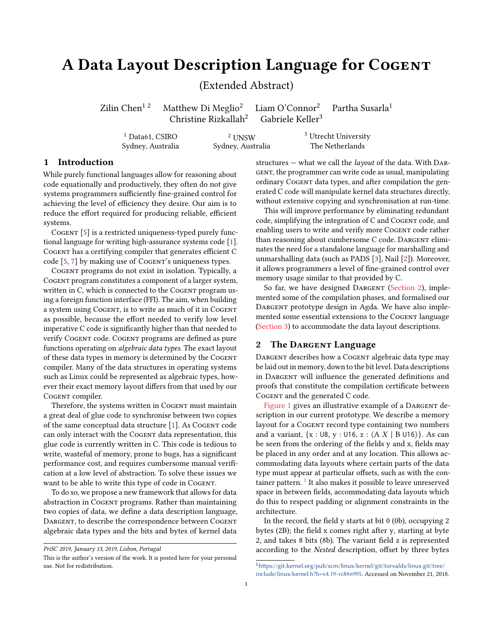# A Data Layout Description Language for Cogent

(Extended Abstract)

Zilin Chen<sup>12</sup> Matthew Di Meglio<sup>2</sup> Liam O'Connor<sup>2</sup> Partha Susarla<sup>1</sup> Christine Rizkallah<sup>2</sup> Gabriele Keller<sup>3</sup>

<sup>1</sup> Data61, CSIRO Sydney, Australia

<sup>2</sup> UNSW Sydney, Australia <sup>3</sup> Utrecht University The Netherlands

# 1 Introduction

While purely functional languages allow for reasoning about code equationally and productively, they often do not give systems programmers sufficiently fine-grained control for achieving the level of efficiency they desire. Our aim is to reduce the effort required for producing reliable, efficient systems.

COGENT [\[5\]](#page-2-0) is a restricted uniqueness-typed purely functional language for writing high-assurance systems code [\[1\]](#page-2-1). Cogent has a certifying compiler that generates efficient C code [\[5,](#page-2-0) [7\]](#page-2-2) by making use of Cogent's uniqueness types.

Cogent programs do not exist in isolation. Typically, a Cogent program constitutes a component of a larger system, written in C, which is connected to the COGENT program using a foreign function interface (FFI). The aim, when building a system using COGENT, is to write as much of it in COGENT as possible, because the effort needed to verify low level imperative C code is significantly higher than that needed to verify Cogent code. Cogent programs are defined as pure functions operating on algebraic data types. The exact layout of these data types in memory is determined by the Cogent compiler. Many of the data structures in operating systems such as Linux could be represented as algebraic types, however their exact memory layout differs from that used by our COGENT compiler.

Therefore, the systems written in Cogent must maintain a great deal of glue code to synchronise between two copies of the same conceptual data structure [\[1\]](#page-2-1). As Cogent code can only interact with the COGENT data representation, this glue code is currently written in C. This code is tedious to write, wasteful of memory, prone to bugs, has a significant performance cost, and requires cumbersome manual verification at a low level of abstraction. To solve these issues we want to be able to write this type of code in COGENT.

To do so, we propose a new framework that allows for data abstraction in Cogent programs. Rather than maintaining two copies of data, we define a data description language, DARGENT, to describe the correspondence between COGENT algebraic data types and the bits and bytes of kernel data

structures — what we call the *layout* of the data. With DARgent, the programmer can write code as usual, manipulating ordinary COGENT data types, and after compilation the generated C code will manipulate kernel data structures directly, without extensive copying and synchronisation at run-time.

This will improve performance by eliminating redundant code, simplifying the integration of C and COGENT code, and enabling users to write and verify more COGENT code rather than reasoning about cumbersome C code. DARGENT eliminates the need for a standalone language for marshalling and unmarshalling data (such as PADS [\[3\]](#page-2-3), Nail [\[2\]](#page-2-4)). Moreover, it allows programmers a level of fine-grained control over memory usage similar to that provided by C.

So far, we have designed DARGENT [\(Section 2\)](#page-0-0), implemented some of the compilation phases, and formalised our DARGENT prototype design in Agda. We have also implemented some essential extensions to the Cogent language [\(Section 3\)](#page-1-0) to accommodate the data layout descriptions.

### <span id="page-0-0"></span>2 The DARGENT Language

DARGENT describes how a COGENT algebraic data type may be laid out in memory, down to the bit level. Data descriptions in Dargent will influence the generated definitions and proofs that constitute the compilation certificate between COGENT and the generated C code.

[Figure 1](#page-1-1) gives an illustrative example of a DARGENT description in our current prototype. We describe a memory layout for a COGENT record type containing two numbers and a variant,  $\{x : \cup 8, y : \cup 16, z : \langle A \mid B \cup 16 \rangle\}$ . As can be seen from the ordering of the fields y and x, fields may be placed in any order and at any location. This allows accommodating data layouts where certain parts of the data type must appear at particular offsets, such as with the con- $\frac{1}{2}$  $\frac{1}{2}$  $\frac{1}{2}$  tainer pattern.  $\frac{1}{2}$  It also makes it possible to leave unreserved space in between fields, accommodating data layouts which do this to respect padding or alignment constraints in the architecture.

In the record, the field y starts at bit 0 (0b), occupying 2 bytes (2B); the field x comes right after y, starting at byte 2, and takes 8 bits (8b). The variant field z is represented according to the Nested description, offset by three bytes

PriSC 2019, January 13, 2019, Lisbon, Portugal

This is the author's version of the work. It is posted here for your personal use. Not for redistribution.

<span id="page-0-1"></span><sup>1</sup>[https://git.kernel.org/pub/scm/linux/kernel/git/torvalds/linux.git/tree/](https://git.kernel.org/pub/scm/linux/kernel/git/torvalds/linux.git/tree/include/linux/kernel.h?h=v4.19-rc8#n995) [include/linux/kernel.h?h=v4.19-rc8#n995](https://git.kernel.org/pub/scm/linux/kernel/git/torvalds/linux.git/tree/include/linux/kernel.h?h=v4.19-rc8#n995). Accessed on November 21, 2018.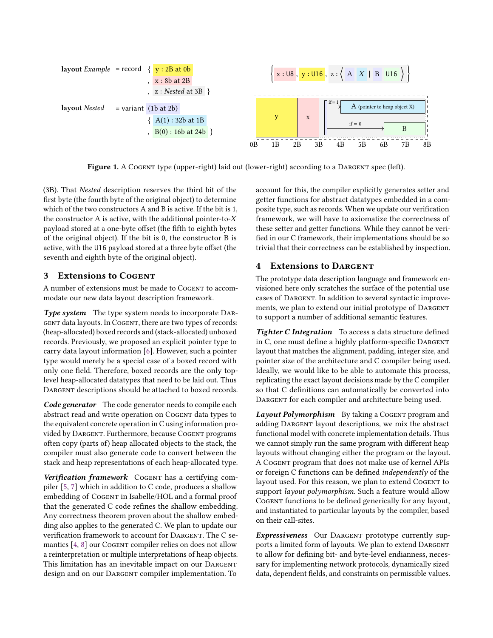<span id="page-1-1"></span>

Figure 1. A COGENT type (upper-right) laid out (lower-right) according to a DARGENT spec (left).

(3B). That Nested description reserves the third bit of the first byte (the fourth byte of the original object) to determine which of the two constructors A and B is active. If the bit is 1, the constructor  $A$  is active, with the additional pointer-to- $X$ payload stored at a one-byte offset (the fifth to eighth bytes of the original object). If the bit is 0, the constructor B is active, with the U16 payload stored at a three byte offset (the seventh and eighth byte of the original object).

#### <span id="page-1-0"></span>3 Extensions to COGENT

A number of extensions must be made to COGENT to accommodate our new data layout description framework.

Type system The type system needs to incorporate DAR-GENT data layouts. In COGENT, there are two types of records: (heap-allocated) boxed records and (stack-allocated) unboxed records. Previously, we proposed an explicit pointer type to carry data layout information [\[6\]](#page-2-5). However, such a pointer type would merely be a special case of a boxed record with only one field. Therefore, boxed records are the only toplevel heap-allocated datatypes that need to be laid out. Thus DARGENT descriptions should be attached to boxed records.

Code generator The code generator needs to compile each abstract read and write operation on Cogent data types to the equivalent concrete operation in C using information provided by DARGENT. Furthermore, because COGENT programs often copy (parts of) heap allocated objects to the stack, the compiler must also generate code to convert between the stack and heap representations of each heap-allocated type.

Verification framework COGENT has a certifying compiler [\[5,](#page-2-0) [7\]](#page-2-2) which in addition to C code, produces a shallow embedding of Cogent in Isabelle/HOL and a formal proof that the generated C code refines the shallow embedding. Any correctness theorem proven about the shallow embedding also applies to the generated C. We plan to update our verification framework to account for DARGENT. The C se-mantics [\[4,](#page-2-6) [8\]](#page-2-7) our COGENT compiler relies on does not allow a reinterpretation or multiple interpretations of heap objects. This limitation has an inevitable impact on our DARGENT design and on our DARGENT compiler implementation. To

account for this, the compiler explicitly generates setter and getter functions for abstract datatypes embedded in a composite type, such as records. When we update our verification framework, we will have to axiomatize the correctness of these setter and getter functions. While they cannot be verified in our C framework, their implementations should be so trivial that their correctness can be established by inspection.

## **4 Extensions to DARGENT**

The prototype data description language and framework envisioned here only scratches the surface of the potential use cases of Dargent. In addition to several syntactic improvements, we plan to extend our initial prototype of DARGENT to support a number of additional semantic features.

Tighter C Integration To access a data structure defined in C, one must define a highly platform-specific DARGENT layout that matches the alignment, padding, integer size, and pointer size of the architecture and C compiler being used. Ideally, we would like to be able to automate this process, replicating the exact layout decisions made by the C compiler so that C definitions can automatically be converted into DARGENT for each compiler and architecture being used.

Layout Polymorphism By taking a Cogentr program and adding DARGENT layout descriptions, we mix the abstract functional model with concrete implementation details. Thus we cannot simply run the same program with different heap layouts without changing either the program or the layout. A Cogent program that does not make use of kernel APIs or foreign C functions can be defined independently of the layout used. For this reason, we plan to extend CoGENT to support layout polymorphism. Such a feature would allow Cogent functions to be defined generically for any layout, and instantiated to particular layouts by the compiler, based on their call-sites.

Expressiveness Our DARGENT prototype currently supports a limited form of layouts. We plan to extend DARGENT to allow for defining bit- and byte-level endianness, necessary for implementing network protocols, dynamically sized data, dependent fields, and constraints on permissible values.